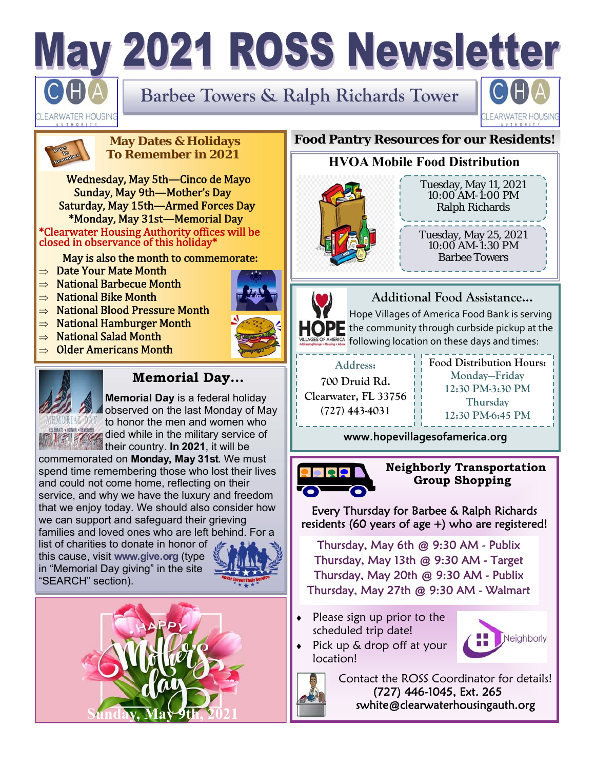# May 2021 ROSS Newsletter

**Barbee Towers & Ralph Richards Tower** 



WATER HOUSING

#### **May Dates & Holidays To Remember in 2021**

Wednesday, May 5th—Cinco de Mayo Sunday, May 9th—Mother's Day Saturday, May 15th—Armed Forces Day \*Monday, May 31st—Memorial Day \*Clearwater Housing Authority offices will be closed in observance of this holiday\*

May is also the month to commemorate:

- $\Rightarrow$  Date Your Mate Month
- $\Rightarrow$  National Barbecue Month
- $\Rightarrow$  National Bike Month
- $\Rightarrow$  National Blood Pressure Month
- $\Rightarrow$  National Hamburger Month
- $\Rightarrow$  National Salad Month
- $\Rightarrow$  Older Americans Month



## **Memorial Day...**

**Memorial Day** is a federal holiday observed on the last Monday of May to honor the men and women who **Compared While in the military service of** their country. **In 2021**, it will be

commemorated on **Monday, May 31st**. We must spend time remembering those who lost their lives and could not come home, reflecting on their service, and why we have the luxury and freedom that we enjoy today. We should also consider how we can support and safeguard their grieving families and loved ones who are left behind. For a

list of charities to donate in honor of this cause, visit **www.give.org** (type in "Memorial Day giving" in the site "SEARCH" section).





#### **Food Pantry Resources for our Residents!**

## **HVOA Mobile Food Distribution**



Tuesday, May 11, 2021 10:00 AM-1:00 PM Ralph Richards

Tuesday, May 25, 2021 10:00 AM-1:30 PM Barbee Towers



**Additional Food Assistance...** 

Hope Villages of America Food Bank is serving  $\blacksquare$  the community through curbside pickup at the following location on these days and times:

**Address: 700 Druid Rd. Clearwater, FL 33756 (727) 443-4031** 

**Food Distribution Hours: Monday—Friday 12:30 PM-3:30 PM Thursday 12:30 PM-6:45 PM** 

**www.hopevillagesofamerica.org**



 **Neighborly Transportation Group Shopping** 

Every Thursday for Barbee & Ralph Richards residents (60 years of age +) who are registered!

Thursday, May 6th @ 9:30 AM - Publix Thursday, May 13th @ 9:30 AM - Target Thursday, May 20th @ 9:30 AM - Publix Thursday, May 27th @ 9:30 AM - Walmart

 Please sign up prior to the scheduled trip date!

Pick up & drop off at your





location!

 Contact the ROSS Coordinator for details! (727) 446-1045, Ext. 265 swhite@clearwaterhousingauth.org